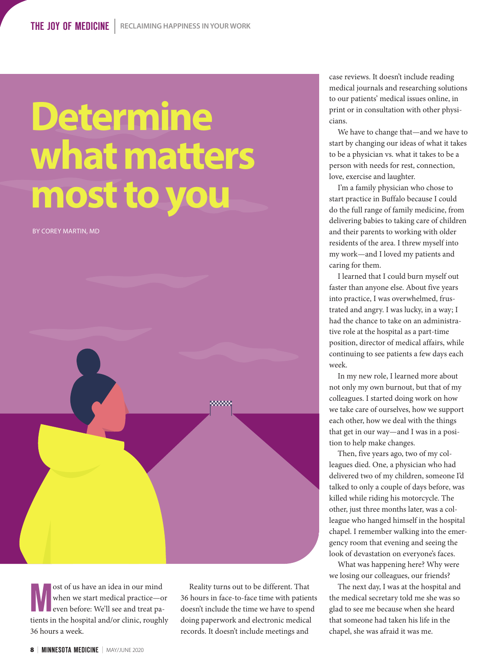## **Determine what matters most to you**

BY COREY MARTIN, MD



ost of us have an idea in our mind<br>when we start medical practice—of<br>even before: We'll see and treat pa-<br>tients in the bosnital and/or clinic roughl when we start medical practice—or even before: We'll see and treat patients in the hospital and/or clinic, roughly 36 hours a week.

Reality turns out to be different. That 36 hours in face-to-face time with patients doesn't include the time we have to spend doing paperwork and electronic medical records. It doesn't include meetings and

case reviews. It doesn't include reading medical journals and researching solutions to our patients' medical issues online, in print or in consultation with other physicians.

We have to change that—and we have to start by changing our ideas of what it takes to be a physician vs. what it takes to be a person with needs for rest, connection, love, exercise and laughter.

I'm a family physician who chose to start practice in Buffalo because I could do the full range of family medicine, from delivering babies to taking care of children and their parents to working with older residents of the area. I threw myself into my work—and I loved my patients and caring for them.

I learned that I could burn myself out faster than anyone else. About five years into practice, I was overwhelmed, frustrated and angry. I was lucky, in a way; I had the chance to take on an administrative role at the hospital as a part-time position, director of medical affairs, while continuing to see patients a few days each week.

In my new role, I learned more about not only my own burnout, but that of my colleagues. I started doing work on how we take care of ourselves, how we support each other, how we deal with the things that get in our way—and I was in a position to help make changes.

Then, five years ago, two of my colleagues died. One, a physician who had delivered two of my children, someone I'd talked to only a couple of days before, was killed while riding his motorcycle. The other, just three months later, was a colleague who hanged himself in the hospital chapel. I remember walking into the emergency room that evening and seeing the look of devastation on everyone's faces.

What was happening here? Why were we losing our colleagues, our friends?

The next day, I was at the hospital and the medical secretary told me she was so glad to see me because when she heard that someone had taken his life in the chapel, she was afraid it was me.